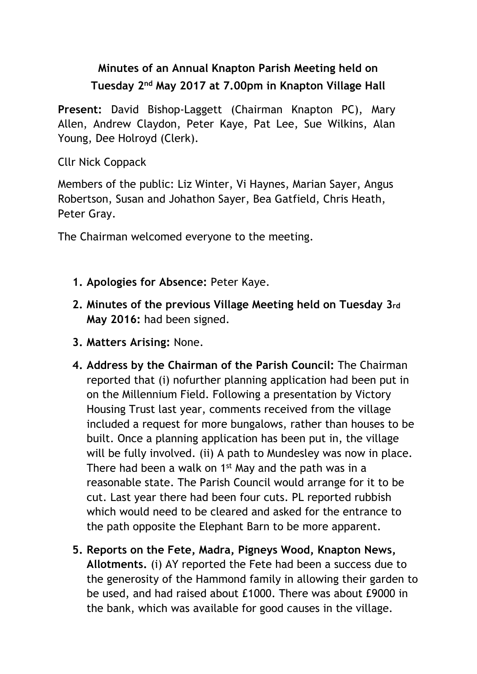## **Minutes of an Annual Knapton Parish Meeting held on Tuesday 2nd May 2017 at 7.00pm in Knapton Village Hall**

**Present:** David Bishop-Laggett (Chairman Knapton PC), Mary Allen, Andrew Claydon, Peter Kaye, Pat Lee, Sue Wilkins, Alan Young, Dee Holroyd (Clerk).

Cllr Nick Coppack

Members of the public: Liz Winter, Vi Haynes, Marian Sayer, Angus Robertson, Susan and Johathon Sayer, Bea Gatfield, Chris Heath, Peter Gray.

The Chairman welcomed everyone to the meeting.

- **1. Apologies for Absence:** Peter Kaye.
- **2. Minutes of the previous Village Meeting held on Tuesday 3rd May 2016:** had been signed.
- **3. Matters Arising:** None.
- **4. Address by the Chairman of the Parish Council:** The Chairman reported that (i) nofurther planning application had been put in on the Millennium Field. Following a presentation by Victory Housing Trust last year, comments received from the village included a request for more bungalows, rather than houses to be built. Once a planning application has been put in, the village will be fully involved. (ii) A path to Mundesley was now in place. There had been a walk on 1<sup>st</sup> May and the path was in a reasonable state. The Parish Council would arrange for it to be cut. Last year there had been four cuts. PL reported rubbish which would need to be cleared and asked for the entrance to the path opposite the Elephant Barn to be more apparent.
- **5. Reports on the Fete, Madra, Pigneys Wood, Knapton News, Allotments.** (i) AY reported the Fete had been a success due to the generosity of the Hammond family in allowing their garden to be used, and had raised about £1000. There was about £9000 in the bank, which was available for good causes in the village.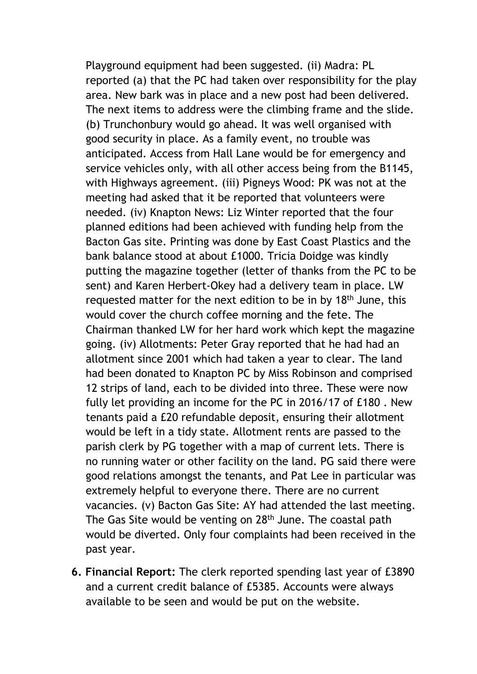Playground equipment had been suggested. (ii) Madra: PL reported (a) that the PC had taken over responsibility for the play area. New bark was in place and a new post had been delivered. The next items to address were the climbing frame and the slide. (b) Trunchonbury would go ahead. It was well organised with good security in place. As a family event, no trouble was anticipated. Access from Hall Lane would be for emergency and service vehicles only, with all other access being from the B1145, with Highways agreement. (iii) Pigneys Wood: PK was not at the meeting had asked that it be reported that volunteers were needed. (iv) Knapton News: Liz Winter reported that the four planned editions had been achieved with funding help from the Bacton Gas site. Printing was done by East Coast Plastics and the bank balance stood at about £1000. Tricia Doidge was kindly putting the magazine together (letter of thanks from the PC to be sent) and Karen Herbert-Okey had a delivery team in place. LW requested matter for the next edition to be in by 18<sup>th</sup> June, this would cover the church coffee morning and the fete. The Chairman thanked LW for her hard work which kept the magazine going. (iv) Allotments: Peter Gray reported that he had had an allotment since 2001 which had taken a year to clear. The land had been donated to Knapton PC by Miss Robinson and comprised 12 strips of land, each to be divided into three. These were now fully let providing an income for the PC in 2016/17 of £180 . New tenants paid a £20 refundable deposit, ensuring their allotment would be left in a tidy state. Allotment rents are passed to the parish clerk by PG together with a map of current lets. There is no running water or other facility on the land. PG said there were good relations amongst the tenants, and Pat Lee in particular was extremely helpful to everyone there. There are no current vacancies. (v) Bacton Gas Site: AY had attended the last meeting. The Gas Site would be venting on 28<sup>th</sup> June. The coastal path would be diverted. Only four complaints had been received in the past year.

**6. Financial Report:** The clerk reported spending last year of £3890 and a current credit balance of £5385. Accounts were always available to be seen and would be put on the website.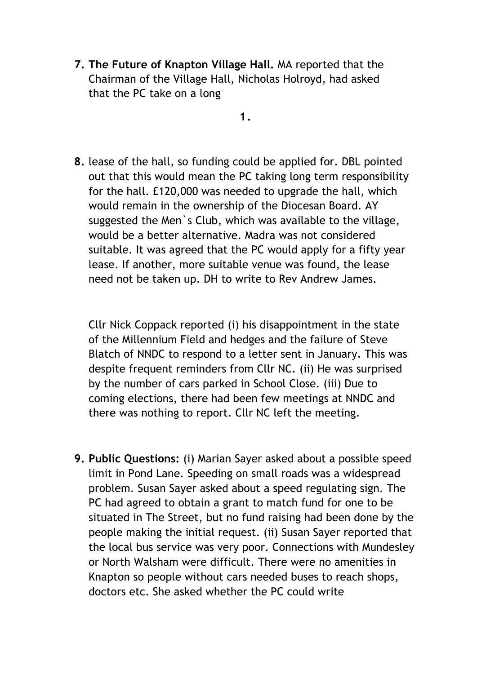**7. The Future of Knapton Village Hall.** MA reported that the Chairman of the Village Hall, Nicholas Holroyd, had asked that the PC take on a long

**1.**

**8.** lease of the hall, so funding could be applied for. DBL pointed out that this would mean the PC taking long term responsibility for the hall. £120,000 was needed to upgrade the hall, which would remain in the ownership of the Diocesan Board. AY suggested the Men`s Club, which was available to the village, would be a better alternative. Madra was not considered suitable. It was agreed that the PC would apply for a fifty year lease. If another, more suitable venue was found, the lease need not be taken up. DH to write to Rev Andrew James.

Cllr Nick Coppack reported (i) his disappointment in the state of the Millennium Field and hedges and the failure of Steve Blatch of NNDC to respond to a letter sent in January. This was despite frequent reminders from Cllr NC. (ii) He was surprised by the number of cars parked in School Close. (iii) Due to coming elections, there had been few meetings at NNDC and there was nothing to report. Cllr NC left the meeting.

**9. Public Questions:** (i) Marian Sayer asked about a possible speed limit in Pond Lane. Speeding on small roads was a widespread problem. Susan Sayer asked about a speed regulating sign. The PC had agreed to obtain a grant to match fund for one to be situated in The Street, but no fund raising had been done by the people making the initial request. (ii) Susan Sayer reported that the local bus service was very poor. Connections with Mundesley or North Walsham were difficult. There were no amenities in Knapton so people without cars needed buses to reach shops, doctors etc. She asked whether the PC could write